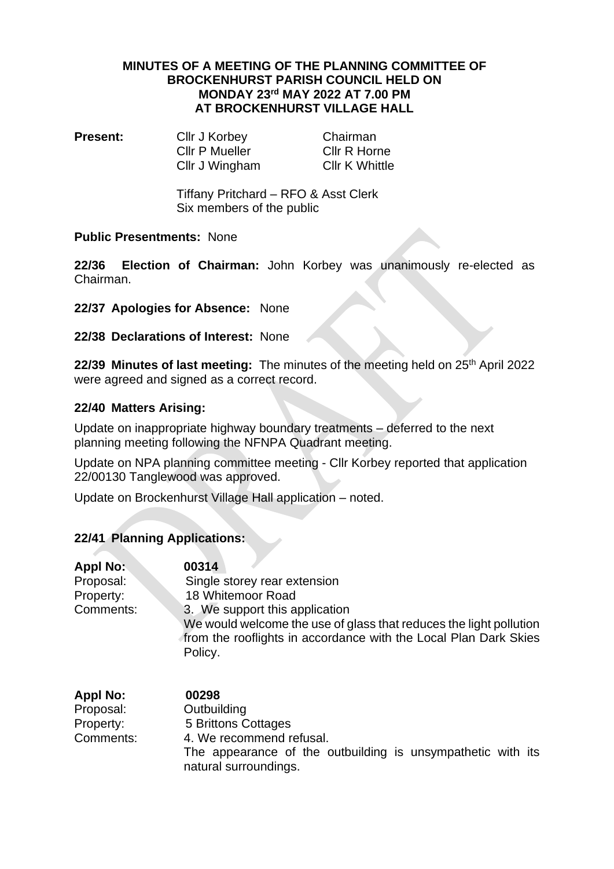#### **MINUTES OF A MEETING OF THE PLANNING COMMITTEE OF BROCKENHURST PARISH COUNCIL HELD ON MONDAY 23 rd MAY 2022 AT 7.00 PM AT BROCKENHURST VILLAGE HALL**

**Present:** Cllr J Korbey Chairman Cllr P Mueller Cllr R Horne Cllr J Wingham Cllr K Whittle

Tiffany Pritchard – RFO & Asst Clerk Six members of the public

## **Public Presentments:** None

**22/36 Election of Chairman:** John Korbey was unanimously re-elected as Chairman.

**22/37 Apologies for Absence:** None

## **22/38 Declarations of Interest:** None

22/39 Minutes of last meeting: The minutes of the meeting held on 25<sup>th</sup> April 2022 were agreed and signed as a correct record.

## **22/40 Matters Arising:**

Update on inappropriate highway boundary treatments – deferred to the next planning meeting following the NFNPA Quadrant meeting.

Update on NPA planning committee meeting - Cllr Korbey reported that application 22/00130 Tanglewood was approved.

Update on Brockenhurst Village Hall application – noted.

## **22/41 Planning Applications:**

| <b>Appl No:</b> | 00314                                                                                                                                             |
|-----------------|---------------------------------------------------------------------------------------------------------------------------------------------------|
| Proposal:       | Single storey rear extension                                                                                                                      |
| Property:       | 18 Whitemoor Road                                                                                                                                 |
| Comments:       | 3. We support this application                                                                                                                    |
|                 | We would welcome the use of glass that reduces the light pollution<br>from the rooflights in accordance with the Local Plan Dark Skies<br>Policy. |
|                 |                                                                                                                                                   |

| <b>Appl No:</b> | 00298                                                                                |
|-----------------|--------------------------------------------------------------------------------------|
| Proposal:       | Outbuilding                                                                          |
| Property:       | 5 Brittons Cottages                                                                  |
| Comments:       | 4. We recommend refusal.                                                             |
|                 | The appearance of the outbuilding is unsympathetic with its<br>natural surroundings. |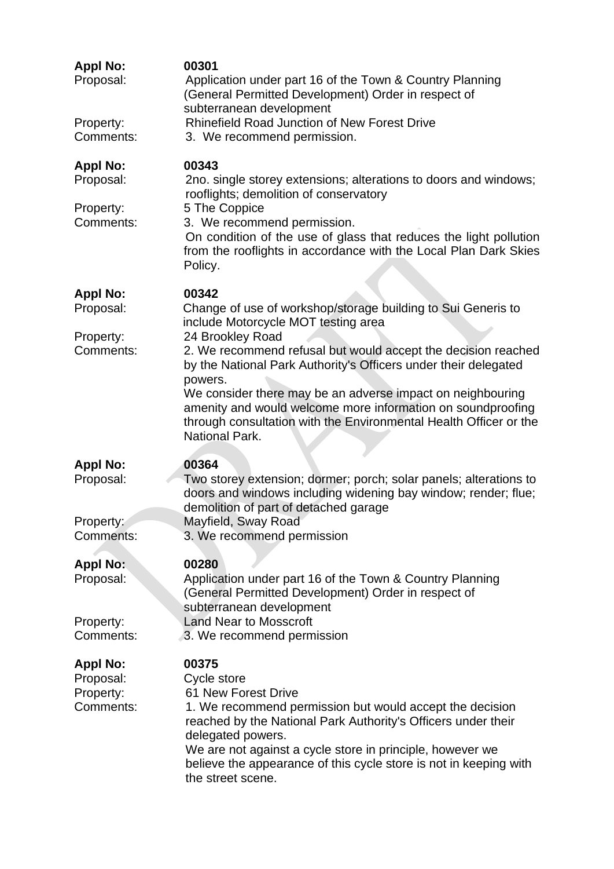| <b>Appl No:</b><br>Proposal:<br>Property:<br>Comments: | 00301<br>Application under part 16 of the Town & Country Planning<br>(General Permitted Development) Order in respect of<br>subterranean development<br><b>Rhinefield Road Junction of New Forest Drive</b><br>3. We recommend permission.                                                                                                                                                                                                                                                                 |
|--------------------------------------------------------|------------------------------------------------------------------------------------------------------------------------------------------------------------------------------------------------------------------------------------------------------------------------------------------------------------------------------------------------------------------------------------------------------------------------------------------------------------------------------------------------------------|
| <b>Appl No:</b><br>Proposal:<br>Property:              | 00343<br>2no. single storey extensions; alterations to doors and windows;<br>rooflights; demolition of conservatory<br>5 The Coppice                                                                                                                                                                                                                                                                                                                                                                       |
| Comments:                                              | 3. We recommend permission.<br>On condition of the use of glass that reduces the light pollution<br>from the rooflights in accordance with the Local Plan Dark Skies<br>Policy.                                                                                                                                                                                                                                                                                                                            |
| <b>Appl No:</b><br>Proposal:<br>Property:<br>Comments: | 00342<br>Change of use of workshop/storage building to Sui Generis to<br>include Motorcycle MOT testing area<br>24 Brookley Road<br>2. We recommend refusal but would accept the decision reached<br>by the National Park Authority's Officers under their delegated<br>powers.<br>We consider there may be an adverse impact on neighbouring<br>amenity and would welcome more information on soundproofing<br>through consultation with the Environmental Health Officer or the<br><b>National Park.</b> |
| <b>Appl No:</b><br>Proposal:<br>Property:<br>Comments: | 00364<br>Two storey extension; dormer; porch; solar panels; alterations to<br>doors and windows including widening bay window; render; flue;<br>demolition of part of detached garage<br>Mayfield, Sway Road<br>3. We recommend permission                                                                                                                                                                                                                                                                 |
| <b>Appl No:</b><br>Proposal:<br>Property:<br>Comments: | 00280<br>Application under part 16 of the Town & Country Planning<br>(General Permitted Development) Order in respect of<br>subterranean development<br><b>Land Near to Mosscroft</b><br>3. We recommend permission                                                                                                                                                                                                                                                                                        |
| <b>Appl No:</b><br>Proposal:<br>Property:<br>Comments: | 00375<br>Cycle store<br>61 New Forest Drive<br>1. We recommend permission but would accept the decision<br>reached by the National Park Authority's Officers under their<br>delegated powers.<br>We are not against a cycle store in principle, however we<br>believe the appearance of this cycle store is not in keeping with<br>the street scene.                                                                                                                                                       |